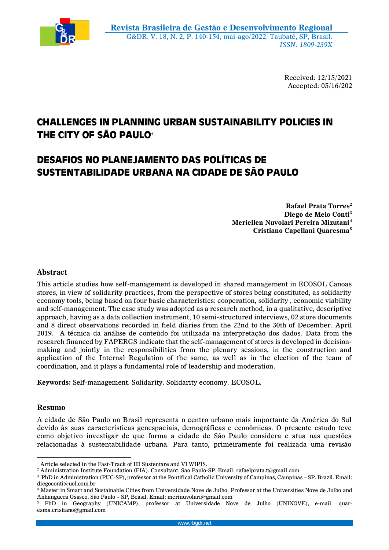

Received: 12/15/2021 Accepted: 05/16/202

# **CHALLENGES IN PLANNING URBAN SUSTAINABILITY POLICIES IN THE CITY OF SÃO PAULO<sup>1</sup>**

## **DESAFIOS NO PLANEJAMENTO DAS POLÍTICAS DE SUSTENTABILIDADE URBANA NA CIDADE DE SÃO PAULO**

**Rafael Prata Torres<sup>2</sup> Diego de Melo Conti<sup>3</sup> Meriellen Nuvolari Pereira Mizutani<sup>4</sup> Cristiano Capellani Quaresma<sup>5</sup>**

## **Abstract**

This article studies how self-management is developed in shared management in ECOSOL Canoas stores, in view of solidarity practices, from the perspective of stores being constituted, as solidarity economy tools, being based on four basic characteristics: cooperation, solidarity , economic viability and self-management. The case study was adopted as a research method, in a qualitative, descriptive approach, having as a data collection instrument, 10 semi-structured interviews, 02 store documents and 8 direct observations recorded in field diaries from the 22nd to the 30th of December. April 2019. A técnica da análise de conteúdo foi utilizada na interpretação dos dados. Data from the research financed by FAPERGS indicate that the self-management of stores is developed in decisionmaking and jointly in the responsibilities from the plenary sessions, in the construction and application of the Internal Regulation of the same, as well as in the election of the team of coordination, and it plays a fundamental role of leadership and moderation.

**Keywords:** Self-management. Solidarity. Solidarity economy. ECOSOL.

## **Resumo**

 $\overline{a}$ 

A cidade de São Paulo no Brasil representa o centro urbano mais importante da América do Sul devido às suas características geoespaciais, demográficas e econômicas. O presente estudo teve como objetivo investigar de que forma a cidade de São Paulo considera e atua nas questões relacionadas à sustentabilidade urbana. Para tanto, primeiramente foi realizada uma revisão

<sup>&</sup>lt;sup>1</sup> Article selected in the Fast-Track of III Sustentare and VI WIPIS.

<sup>&</sup>lt;sup>2</sup> Administration Institute Foundation (FIA). Consultant. Sao Paulo-SP. Email: rafaelprata.t@gmail.com

<sup>3</sup> PhD in Administration (PUC-SP), professor at the Pontifical Catholic University of Campinas, Campinas – SP. Brazil. Email: diegoconti@uol.com.br

<sup>4</sup> Master in Smart and Sustainable Cities from Universidade Nove de Julho. Professor at the Universities Nove de Julho and Anhanguera Osasco. São Paulo – SP, Beasil. Email: merinuvolari@gmail.com

<sup>5</sup> PhD in Geography (UNICAMP), professor at Universidade Nove de Julho (UNINOVE), e-mail: quaresma.cristiano@gmail.com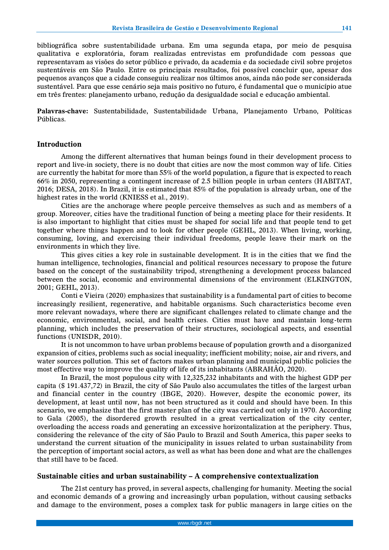bibliográfica sobre sustentabilidade urbana. Em uma segunda etapa, por meio de pesquisa qualitativa e exploratória, foram realizadas entrevistas em profundidade com pessoas que representavam as visões do setor público e privado, da academia e da sociedade civil sobre projetos sustentáveis em São Paulo. Entre os principais resultados, foi possível concluir que, apesar dos pequenos avanços que a cidade conseguiu realizar nos últimos anos, ainda não pode ser considerada sustentável. Para que esse cenário seja mais positivo no futuro, é fundamental que o município atue em três frentes: planejamento urbano, redução da desigualdade social e educação ambiental.

**Palavras-chave:** Sustentabilidade, Sustentabilidade Urbana, Planejamento Urbano, Políticas Públicas.

#### **Introduction**

Among the different alternatives that human beings found in their development process to report and live-in society, there is no doubt that cities are now the most common way of life. Cities are currently the habitat for more than 55% of the world population, a figure that is expected to reach 66% in 2050, representing a contingent increase of 2.5 billion people in urban centers (HABITAT, 2016; DESA, 2018). In Brazil, it is estimated that 85% of the population is already urban, one of the highest rates in the world (KNIESS et al., 2019).

Cities are the anchorage where people perceive themselves as such and as members of a group. Moreover, cities have the traditional function of being a meeting place for their residents. It is also important to highlight that cities must be shaped for social life and that people tend to get together where things happen and to look for other people (GEHL, 2013). When living, working, consuming, loving, and exercising their individual freedoms, people leave their mark on the environments in which they live.

This gives cities a key role in sustainable development. It is in the cities that we find the human intelligence, technologies, financial and political resources necessary to propose the future based on the concept of the sustainability tripod, strengthening a development process balanced between the social, economic and environmental dimensions of the environment (ELKINGTON, 2001; GEHL, 2013).

Conti e Vieira (2020) emphasizes that sustainability is a fundamental part of cities to become increasingly resilient, regenerative, and habitable organisms. Such characteristics become even more relevant nowadays, where there are significant challenges related to climate change and the economic, environmental, social, and health crises. Cities must have and maintain long-term planning, which includes the preservation of their structures, sociological aspects, and essential functions (UNISDR, 2010).

It is not uncommon to have urban problems because of population growth and a disorganized expansion of cities, problems such as social inequality; inefficient mobility; noise, air and rivers, and water sources pollution. This set of factors makes urban planning and municipal public policies the most effective way to improve the quality of life of its inhabitants (ABRAHÃO, 2020).

In Brazil, the most populous city with 12,325,232 inhabitants and with the highest GDP per capita (\$ 191.437,72) in Brazil, the city of São Paulo also accumulates the titles of the largest urban and financial center in the country (IBGE, 2020). However, despite the economic power, its development, at least until now, has not been structured as it could and should have been. In this scenario, we emphasize that the first master plan of the city was carried out only in 1970. According to Gala (2005), the disordered growth resulted in a great verticalization of the city center, overloading the access roads and generating an excessive horizontalization at the periphery. Thus, considering the relevance of the city of São Paulo to Brazil and South America, this paper seeks to understand the current situation of the municipality in issues related to urban sustainability from the perception of important social actors, as well as what has been done and what are the challenges that still have to be faced.

#### **Sustainable cities and urban sustainability – A comprehensive contextualization**

The 21st century has proved, in several aspects, challenging for humanity. Meeting the social and economic demands of a growing and increasingly urban population, without causing setbacks and damage to the environment, poses a complex task for public managers in large cities on the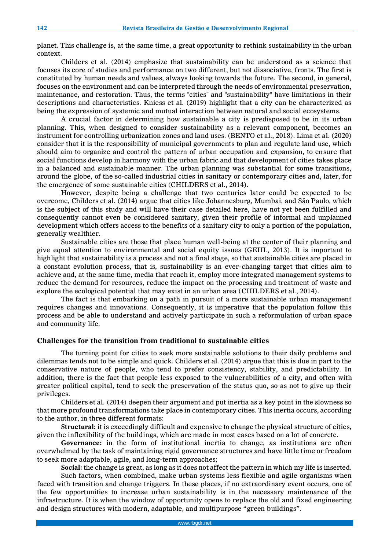planet. This challenge is, at the same time, a great opportunity to rethink sustainability in the urban context.

Childers et al. (2014) emphasize that sustainability can be understood as a science that focuses its core of studies and performance on two different, but not dissociative, fronts. The first is constituted by human needs and values, always looking towards the future. The second, in general, focuses on the environment and can be interpreted through the needs of environmental preservation, maintenance, and restoration. Thus, the terms "cities" and "sustainability" have limitations in their descriptions and characteristics. Kniess et al. (2019) highlight that a city can be characterized as being the expression of systemic and mutual interaction between natural and social ecosystems.

A crucial factor in determining how sustainable a city is predisposed to be in its urban planning. This, when designed to consider sustainability as a relevant component, becomes an instrument for controlling urbanization zones and land uses. (BENTO et al., 2018). Lima et al. (2020) consider that it is the responsibility of municipal governments to plan and regulate land use, which should aim to organize and control the pattern of urban occupation and expansion, to ensure that social functions develop in harmony with the urban fabric and that development of cities takes place in a balanced and sustainable manner. The urban planning was substantial for some transitions, around the globe, of the so-called industrial cities in sanitary or contemporary cities and, later, for the emergence of some sustainable cities (CHILDERS et al., 2014).

However, despite being a challenge that two centuries later could be expected to be overcome, Childers et al. (2014) argue that cities like Johannesburg, Mumbai, and São Paulo, which is the subject of this study and will have their case detailed here, have not yet been fulfilled and consequently cannot even be considered sanitary, given their profile of informal and unplanned development which offers access to the benefits of a sanitary city to only a portion of the population, generally wealthier.

Sustainable cities are those that place human well-being at the center of their planning and give equal attention to environmental and social equity issues (GEHL, 2013). It is important to highlight that sustainability is a process and not a final stage, so that sustainable cities are placed in a constant evolution process, that is, sustainability is an ever-changing target that cities aim to achieve and, at the same time, media that reach it, employ more integrated management systems to reduce the demand for resources, reduce the impact on the processing and treatment of waste and explore the ecological potential that may exist in an urban area (CHILDERS et al., 2014).

The fact is that embarking on a path in pursuit of a more sustainable urban management requires changes and innovations. Consequently, it is imperative that the population follow this process and be able to understand and actively participate in such a reformulation of urban space and community life.

#### **Challenges for the transition from traditional to sustainable cities**

The turning point for cities to seek more sustainable solutions to their daily problems and dilemmas tends not to be simple and quick. Childers et al. (2014) argue that this is due in part to the conservative nature of people, who tend to prefer consistency, stability, and predictability. In addition, there is the fact that people less exposed to the vulnerabilities of a city, and often with greater political capital, tend to seek the preservation of the status quo, so as not to give up their privileges.

Childers et al. (2014) deepen their argument and put inertia as a key point in the slowness so that more profound transformations take place in contemporary cities. This inertia occurs, according to the author, in three different formats:

**Structural:** it is exceedingly difficult and expensive to change the physical structure of cities, given the inflexibility of the buildings, which are made in most cases based on a lot of concrete.

**Governance:** in the form of institutional inertia to change, as institutions are often overwhelmed by the task of maintaining rigid governance structures and have little time or freedom to seek more adaptable, agile, and long-term approaches;

**Social:** the change is great, as long as it does not affect the pattern in which my life is inserted.

Such factors, when combined, make urban systems less flexible and agile organisms when faced with transition and change triggers. In these places, if no extraordinary event occurs, one of the few opportunities to increase urban sustainability is in the necessary maintenance of the infrastructure. It is when the window of opportunity opens to replace the old and fixed engineering and design structures with modern, adaptable, and multipurpose "green buildings".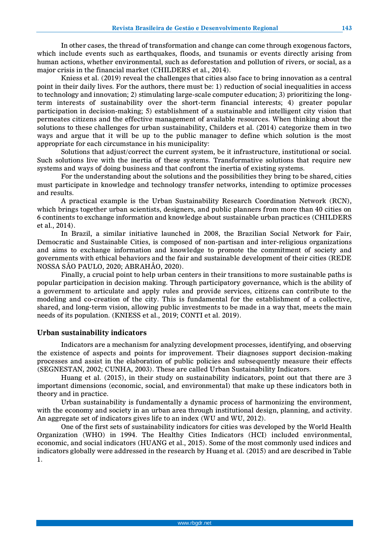In other cases, the thread of transformation and change can come through exogenous factors, which include events such as earthquakes, floods, and tsunamis or events directly arising from human actions, whether environmental, such as deforestation and pollution of rivers, or social, as a major crisis in the financial market (CHILDERS et al., 2014).

Kniess et al. (2019) reveal the challenges that cities also face to bring innovation as a central point in their daily lives. For the authors, there must be: 1) reduction of social inequalities in access to technology and innovation; 2) stimulating large-scale computer education; 3) prioritizing the longterm interests of sustainability over the short-term financial interests; 4) greater popular participation in decision-making; 5) establishment of a sustainable and intelligent city vision that permeates citizens and the effective management of available resources. When thinking about the solutions to these challenges for urban sustainability, Childers et al. (2014) categorize them in two ways and argue that it will be up to the public manager to define which solution is the most appropriate for each circumstance in his municipality:

Solutions that adjust/correct the current system, be it infrastructure, institutional or social. Such solutions live with the inertia of these systems. Transformative solutions that require new systems and ways of doing business and that confront the inertia of existing systems.

For the understanding about the solutions and the possibilities they bring to be shared, cities must participate in knowledge and technology transfer networks, intending to optimize processes and results.

A practical example is the Urban Sustainability Research Coordination Network (RCN), which brings together urban scientists, designers, and public planners from more than 40 cities on 6 continents to exchange information and knowledge about sustainable urban practices (CHILDERS et al., 2014).

In Brazil, a similar initiative launched in 2008, the Brazilian Social Network for Fair, Democratic and Sustainable Cities, is composed of non-partisan and inter-religious organizations and aims to exchange information and knowledge to promote the commitment of society and governments with ethical behaviors and the fair and sustainable development of their cities (REDE NOSSA SÃO PAULO, 2020; ABRAHÃO, 2020).

Finally, a crucial point to help urban centers in their transitions to more sustainable paths is popular participation in decision making. Through participatory governance, which is the ability of a government to articulate and apply rules and provide services, citizens can contribute to the modeling and co-creation of the city. This is fundamental for the establishment of a collective, shared, and long-term vision, allowing public investments to be made in a way that, meets the main needs of its population. (KNIESS et al., 2019; CONTI et al. 2019).

#### **Urban sustainability indicators**

Indicators are a mechanism for analyzing development processes, identifying, and observing the existence of aspects and points for improvement. Their diagnoses support decision-making processes and assist in the elaboration of public policies and subsequently measure their effects (SEGNESTAN, 2002; CUNHA, 2003). These are called Urban Sustainability Indicators.

Huang et al. (2015), in their study on sustainability indicators, point out that there are 3 important dimensions (economic, social, and environmental) that make up these indicators both in theory and in practice.

Urban sustainability is fundamentally a dynamic process of harmonizing the environment, with the economy and society in an urban area through institutional design, planning, and activity. An aggregate set of indicators gives life to an index (WU and WU, 2012).

One of the first sets of sustainability indicators for cities was developed by the World Health Organization (WHO) in 1994. The Healthy Cities Indicators (HCI) included environmental, economic, and social indicators (HUANG et al., 2015). Some of the most commonly used indices and indicators globally were addressed in the research by Huang et al. (2015) and are described in Table 1.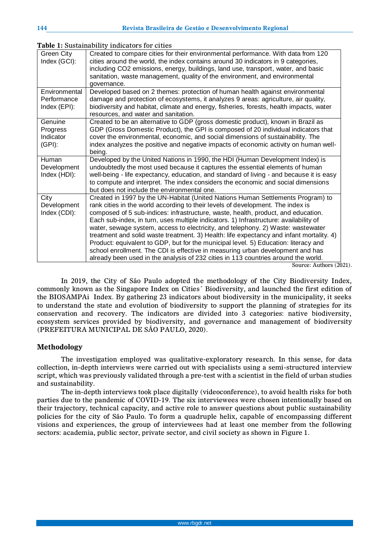| Green City          | ole 1. Dublamability malbatolo fol chileb<br>Created to compare cities for their environmental performance. With data from 120                                         |
|---------------------|------------------------------------------------------------------------------------------------------------------------------------------------------------------------|
| Index (GCI):        | cities around the world, the index contains around 30 indicators in 9 categories,<br>including CO2 emissions, energy, buildings, land use, transport, water, and basic |
|                     | sanitation, waste management, quality of the environment, and environmental                                                                                            |
|                     | governance.                                                                                                                                                            |
| Environmental       | Developed based on 2 themes: protection of human health against environmental                                                                                          |
| Performance         | damage and protection of ecosystems, it analyzes 9 areas: agriculture, air quality,                                                                                    |
| Index (EPI):        | biodiversity and habitat, climate and energy, fisheries, forests, health impacts, water<br>resources, and water and sanitation.                                        |
| Genuine             | Created to be an alternative to GDP (gross domestic product), known in Brazil as                                                                                       |
| Progress            | GDP (Gross Domestic Product), the GPI is composed of 20 individual indicators that                                                                                     |
| Indicator           | cover the environmental, economic, and social dimensions of sustainability. The                                                                                        |
| $(GPI)$ :           | index analyzes the positive and negative impacts of economic activity on human well-                                                                                   |
| Human               | being.<br>Developed by the United Nations in 1990, the HDI (Human Development Index) is                                                                                |
| Development         | undoubtedly the most used because it captures the essential elements of human                                                                                          |
| Index (HDI):        | well-being - life expectancy, education, and standard of living - and because it is easy                                                                               |
|                     | to compute and interpret. The index considers the economic and social dimensions                                                                                       |
|                     | but does not include the environmental one.                                                                                                                            |
| City<br>Development | Created in 1997 by the UN-Habitat (United Nations Human Settlements Program) to<br>rank cities in the world according to their levels of development. The index is     |
| Index (CDI):        | composed of 5 sub-indices: infrastructure, waste, health, product, and education.                                                                                      |
|                     | Each sub-index, in turn, uses multiple indicators. 1) Infrastructure: availability of                                                                                  |
|                     | water, sewage system, access to electricity, and telephony. 2) Waste: wastewater                                                                                       |
|                     | treatment and solid waste treatment. 3) Health: life expectancy and infant mortality. 4)                                                                               |
|                     | Product: equivalent to GDP, but for the municipal level. 5) Education: literacy and                                                                                    |
|                     | school enrollment. The CDI is effective in measuring urban development and has                                                                                         |
|                     | already been used in the analysis of 232 cities in 113 countries around the world.                                                                                     |

**Table 1:** Sustainability indicators for cities

Source: Authors (2021).

In 2019, the City of São Paulo adopted the methodology of the City Biodiversity Index, commonly known as the Singapore Index on Cities´ Biodiversity, and launched the first edition of the BIOSAMPAi Index. By gathering 23 indicators about biodiversity in the municipality, it seeks to understand the state and evolution of biodiversity to support the planning of strategies for its conservation and recovery. The indicators are divided into 3 categories: native biodiversity, ecosystem services provided by biodiversity, and governance and management of biodiversity (PREFEITURA MUNICIPAL DE SÃO PAULO, 2020).

## **Methodology**

The investigation employed was qualitative-exploratory research. In this sense, for data collection, in-depth interviews were carried out with specialists using a semi-structured interview script, which was previously validated through a pre-test with a scientist in the field of urban studies and sustainability.

The in-depth interviews took place digitally (videoconference), to avoid health risks for both parties due to the pandemic of COVID-19. The six interviewees were chosen intentionally based on their trajectory, technical capacity, and active role to answer questions about public sustainability policies for the city of São Paulo. To form a quadruple helix, capable of encompassing different visions and experiences, the group of interviewees had at least one member from the following sectors: academia, public sector, private sector, and civil society as shown in Figure 1.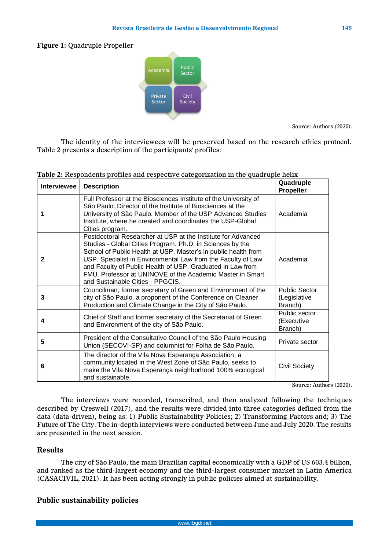**Figure 1:** Quadruple Propeller



Source: Authors (2020).

The identity of the interviewees will be preserved based on the research ethics protocol. Table 2 presents a description of the participants' profiles:

| Interviewee | <b>Description</b>                                                                                                                                                                                                                                                                                                                                                                                                         | Quadruple<br>Propeller                          |
|-------------|----------------------------------------------------------------------------------------------------------------------------------------------------------------------------------------------------------------------------------------------------------------------------------------------------------------------------------------------------------------------------------------------------------------------------|-------------------------------------------------|
|             | Full Professor at the Biosciences Institute of the University of<br>São Paulo. Director of the Institute of Biosciences at the<br>University of São Paulo. Member of the USP Advanced Studies<br>Institute, where he created and coordinates the USP-Global<br>Cities program.                                                                                                                                             | Academia                                        |
| 2           | Postdoctoral Researcher at USP at the Institute for Advanced<br>Studies - Global Cities Program. Ph.D. in Sciences by the<br>School of Public Health at USP. Master's in public health from<br>USP. Specialist in Environmental Law from the Faculty of Law<br>and Faculty of Public Health of USP. Graduated in Law from<br>FMU. Professor at UNINOVE of the Academic Master in Smart<br>and Sustainable Cities - PPGCIS. | Academia                                        |
| 3           | Councilman, former secretary of Green and Environment of the<br>city of São Paulo, a proponent of the Conference on Cleaner<br>Production and Climate Change in the City of São Paulo.                                                                                                                                                                                                                                     | <b>Public Sector</b><br>(Legislative<br>Branch) |
| 4           | Chief of Staff and former secretary of the Secretariat of Green<br>and Environment of the city of São Paulo.                                                                                                                                                                                                                                                                                                               | Public sector<br>(Executive<br>Branch)          |
| 5           | President of the Consultative Council of the São Paulo Housing<br>Union (SECOVI-SP) and columnist for Folha de São Paulo.                                                                                                                                                                                                                                                                                                  | Private sector                                  |
| 6           | The director of the Vila Nova Esperança Association, a<br>community located in the West Zone of São Paulo, seeks to<br>make the Vila Nova Esperança neighborhood 100% ecological<br>and sustainable.                                                                                                                                                                                                                       | <b>Civil Society</b>                            |

**Table 2:** Respondents profiles and respective categorization in the quadruple helix

Source: Authors (2020).

The interviews were recorded, transcribed, and then analyzed following the techniques described by Creswell (2017), and the results were divided into three categories defined from the data (data-driven), being as: 1) Public Sustainability Policies; 2) Transforming Factors and; 3) The Future of The City. The in-depth interviews were conducted between June and July 2020. The results are presented in the next session.

## **Results**

The city of São Paulo, the main Brazilian capital economically with a GDP of U\$ 603.4 billion, and ranked as the third-largest economy and the third-largest consumer market in Latin America (CASACIVIL, 2021). It has been acting strongly in public policies aimed at sustainability.

## **Public sustainability policies**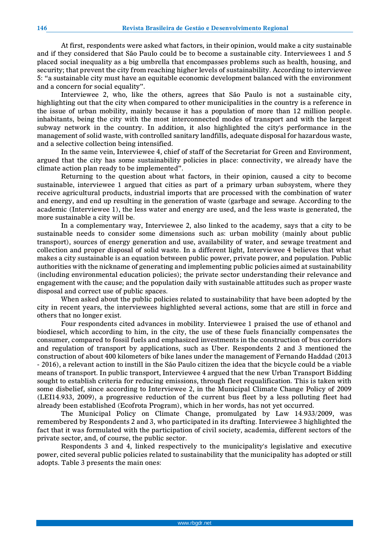At first, respondents were asked what factors, in their opinion, would make a city sustainable and if they considered that São Paulo could be to become a sustainable city. Interviewees 1 and 5 placed social inequality as a big umbrella that encompasses problems such as health, housing, and security; that prevent the city from reaching higher levels of sustainability. According to interviewee 5: "a sustainable city must have an equitable economic development balanced with the environment and a concern for social equality".

Interviewee 2, who, like the others, agrees that São Paulo is not a sustainable city, highlighting out that the city when compared to other municipalities in the country is a reference in the issue of urban mobility, mainly because it has a population of more than 12 million people. inhabitants, being the city with the most interconnected modes of transport and with the largest subway network in the country. In addition, it also highlighted the city's performance in the management of solid waste, with controlled sanitary landfills, adequate disposal for hazardous waste, and a selective collection being intensified.

In the same vein, Interviewee 4, chief of staff of the Secretariat for Green and Environment, argued that the city has some sustainability policies in place: connectivity, we already have the climate action plan ready to be implemented".

Returning to the question about what factors, in their opinion, caused a city to become sustainable, interviewee 1 argued that cities as part of a primary urban subsystem, where they receive agricultural products, industrial imports that are processed with the combination of water and energy, and end up resulting in the generation of waste (garbage and sewage. According to the academic (Interviewee 1), the less water and energy are used, and the less waste is generated, the more sustainable a city will be.

In a complementary way, Interviewee 2, also linked to the academy, says that a city to be sustainable needs to consider some dimensions such as: urban mobility (mainly about public transport), sources of energy generation and use, availability of water, and sewage treatment and collection and proper disposal of solid waste. In a different light, Interviewee 4 believes that what makes a city sustainable is an equation between public power, private power, and population. Public authorities with the nickname of generating and implementing public policies aimed at sustainability (including environmental education policies); the private sector understanding their relevance and engagement with the cause; and the population daily with sustainable attitudes such as proper waste disposal and correct use of public spaces.

When asked about the public policies related to sustainability that have been adopted by the city in recent years, the interviewees highlighted several actions, some that are still in force and others that no longer exist.

Four respondents cited advances in mobility. Interviewee 1 praised the use of ethanol and biodiesel, which according to him, in the city, the use of these fuels financially compensates the consumer, compared to fossil fuels and emphasized investments in the construction of bus corridors and regulation of transport by applications, such as Uber. Respondents 2 and 3 mentioned the construction of about 400 kilometers of bike lanes under the management of Fernando Haddad (2013 - 2016), a relevant action to instill in the São Paulo citizen the idea that the bicycle could be a viable means of transport. In public transport, Interviewee 4 argued that the new Urban Transport Bidding sought to establish criteria for reducing emissions, through fleet requalification. This is taken with some disbelief, since according to Interviewee 2, in the Municipal Climate Change Policy of 2009 (LEI14.933, 2009), a progressive reduction of the current bus fleet by a less polluting fleet had already been established (Ecofrota Program), which in her words, has not yet occurred.

The Municipal Policy on Climate Change, promulgated by Law 14.933/2009, was remembered by Respondents 2 and 3, who participated in its drafting. Interviewee 3 highlighted the fact that it was formulated with the participation of civil society, academia, different sectors of the private sector, and, of course, the public sector.

Respondents 3 and 4, linked respectively to the municipality's legislative and executive power, cited several public policies related to sustainability that the municipality has adopted or still adopts. Table 3 presents the main ones: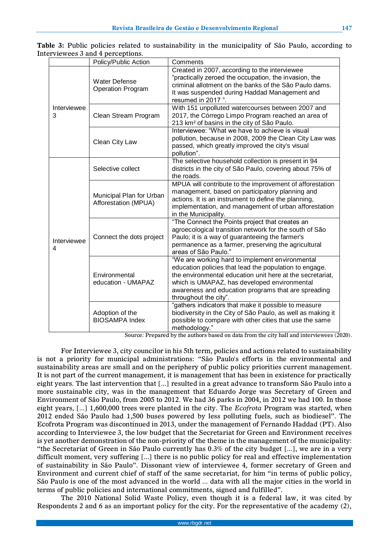|                  | Policy/Public Action                             | Comments                                                                                                                                                                                                                                                                                               |
|------------------|--------------------------------------------------|--------------------------------------------------------------------------------------------------------------------------------------------------------------------------------------------------------------------------------------------------------------------------------------------------------|
| Interviewee<br>3 | <b>Water Defense</b><br>Operation Program        | Created in 2007, according to the interviewee<br>"practically zeroed the occupation, the invasion, the<br>criminal allotment on the banks of the São Paulo dams.<br>It was suspended during Haddad Management and<br>resumed in 2017".                                                                 |
|                  | Clean Stream Program                             | With 151 unpolluted watercourses between 2007 and<br>2017, the Córrego Limpo Program reached an area of<br>213 km <sup>2</sup> of basins in the city of São Paulo.                                                                                                                                     |
|                  | Clean City Law                                   | Interviewee: "What we have to achieve is visual<br>pollution, because in 2008, 2009 the Clean City Law was<br>passed, which greatly improved the city's visual<br>pollution".                                                                                                                          |
| Interviewee<br>4 | Selective collect                                | The selective household collection is present in 94<br>districts in the city of São Paulo, covering about 75% of<br>the roads.                                                                                                                                                                         |
|                  | Municipal Plan for Urban<br>Afforestation (MPUA) | MPUA will contribute to the improvement of afforestation<br>management, based on participatory planning and<br>actions. It is an instrument to define the planning,<br>implementation, and management of urban afforestation<br>in the Municipality.                                                   |
|                  | Connect the dots project                         | "The Connect the Points project that creates an<br>agroecological transition network for the south of São<br>Paulo; it is a way of guaranteeing the farmer's<br>permanence as a farmer, preserving the agricultural<br>areas of São Paulo."                                                            |
|                  | Environmental<br>education - UMAPAZ              | "We are working hard to implement environmental<br>education policies that lead the population to engage.<br>the environmental education unit here at the secretariat,<br>which is UMAPAZ, has developed environmental<br>awareness and education programs that are spreading<br>throughout the city". |
|                  | Adoption of the<br><b>BIOSAMPA Index</b>         | "gathers indicators that make it possible to measure<br>biodiversity in the City of São Paulo, as well as making it<br>possible to compare with other cities that use the same<br>methodology."                                                                                                        |

**Table 3:** Public policies related to sustainability in the municipality of São Paulo, according to Interviewees 3 and 4 perceptions.

Source: Prepared by the authors based on data from the city hall and interviewees (2020).

For Interviewee 3, city councilor in his 5th term, policies and actions related to sustainability is not a priority for municipal administrations: "São Paulo's efforts in the environmental and sustainability areas are small and on the periphery of public policy priorities current management. It is not part of the current management, it is management that has been in existence for practically eight years. The last intervention that [...] resulted in a great advance to transform São Paulo into a more sustainable city, was in the management that Eduardo Jorge was Secretary of Green and Environment of São Paulo, from 2005 to 2012. We had 36 parks in 2004, in 2012 we had 100. In those eight years, [...] 1,600,000 trees were planted in the city. The *Ecofrota* Program was started, when 2012 ended São Paulo had 1,500 buses powered by less polluting fuels, such as biodiesel". The Ecofrota Program was discontinued in 2013, under the management of Fernando Haddad (PT). Also according to Interviewee 3, the low budget that the Secretariat for Green and Environment receives is yet another demonstration of the non-priority of the theme in the management of the municipality: "the Secretariat of Green in São Paulo currently has 0.3% of the city budget [...], we are in a very difficult moment, very suffering [...] there is no public policy for real and effective implementation of sustainability in São Paulo". Dissonant view of interviewee 4, former secretary of Green and Environment and current chief of staff of the same secretariat, for him "in terms of public policy, São Paulo is one of the most advanced in the world ... data with all the major cities in the world in terms of public policies and international commitments, signed and fulfilled".

The 2010 National Solid Waste Policy, even though it is a federal law, it was cited by Respondents 2 and 6 as an important policy for the city. For the representative of the academy (2),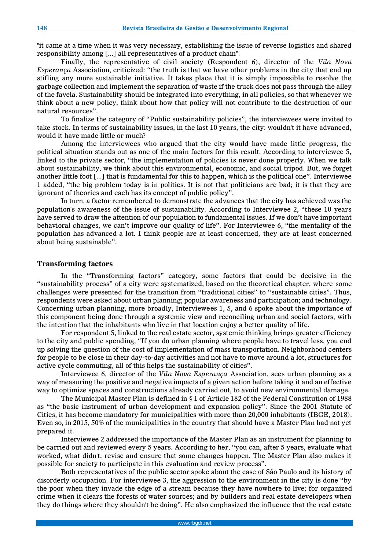"it came at a time when it was very necessary, establishing the issue of reverse logistics and shared responsibility among [...] all representatives of a product chain".

Finally, the representative of civil society (Respondent 6), director of the *Vila Nova Esperança* Association, criticized: "the truth is that we have other problems in the city that end up stifling any more sustainable initiative. It takes place that it is simply impossible to resolve the garbage collection and implement the separation of waste if the truck does not pass through the alley of the favela. Sustainability should be integrated into everything, in all policies, so that whenever we think about a new policy, think about how that policy will not contribute to the destruction of our natural resources".

To finalize the category of "Public sustainability policies", the interviewees were invited to take stock. In terms of sustainability issues, in the last 10 years, the city: wouldn't it have advanced, would it have made little or much?

Among the interviewees who argued that the city would have made little progress, the political situation stands out as one of the main factors for this result. According to interviewee 5, linked to the private sector, "the implementation of policies is never done properly. When we talk about sustainability, we think about this environmental, economic, and social tripod. But, we forget another little foot [...] that is fundamental for this to happen, which is the political one". Interviewee 1 added, "the big problem today is in politics. It is not that politicians are bad; it is that they are ignorant of theories and each has its concept of public policy".

In turn, a factor remembered to demonstrate the advances that the city has achieved was the population's awareness of the issue of sustainability. According to Interviewee 2, "these 10 years have served to draw the attention of our population to fundamental issues. If we don't have important behavioral changes, we can't improve our quality of life". For Interviewee 6, "the mentality of the population has advanced a lot. I think people are at least concerned, they are at least concerned about being sustainable".

#### **Transforming factors**

In the "Transforming factors" category, some factors that could be decisive in the "sustainability process" of a city were systematized, based on the theoretical chapter, where some challenges were presented for the transition from "traditional cities" to "sustainable cities". Thus, respondents were asked about urban planning; popular awareness and participation; and technology. Concerning urban planning, more broadly, Interviewees 1, 5, and 6 spoke about the importance of this component being done through a systemic view and reconciling urban and social factors, with the intention that the inhabitants who live in that location enjoy a better quality of life.

For respondent 5, linked to the real estate sector, systemic thinking brings greater efficiency to the city and public spending, "If you do urban planning where people have to travel less, you end up solving the question of the cost of implementation of mass transportation. Neighborhood centers for people to be close in their day-to-day activities and not have to move around a lot, structures for active cycle commuting, all of this helps the sustainability of cities".

Interviewee 6, director of the *Vila Nova Esperança* Association, sees urban planning as a way of measuring the positive and negative impacts of a given action before taking it and an effective way to optimize spaces and constructions already carried out, to avoid new environmental damage.

The Municipal Master Plan is defined in § 1 of Article 182 of the Federal Constitution of 1988 as "the basic instrument of urban development and expansion policy". Since the 2001 Statute of Cities, it has become mandatory for municipalities with more than 20,000 inhabitants (IBGE, 2018). Even so, in 2015, 50% of the municipalities in the country that should have a Master Plan had not yet prepared it.

Interviewee 2 addressed the importance of the Master Plan as an instrument for planning to be carried out and reviewed every 5 years. According to her, "you can, after 5 years, evaluate what worked, what didn't, revise and ensure that some changes happen. The Master Plan also makes it possible for society to participate in this evaluation and review process".

Both representatives of the public sector spoke about the case of São Paulo and its history of disorderly occupation. For interviewee 3, the aggression to the environment in the city is done "by the poor when they invade the edge of a stream because they have nowhere to live; for organized crime when it clears the forests of water sources; and by builders and real estate developers when they do things where they shouldn't be doing". He also emphasized the influence that the real estate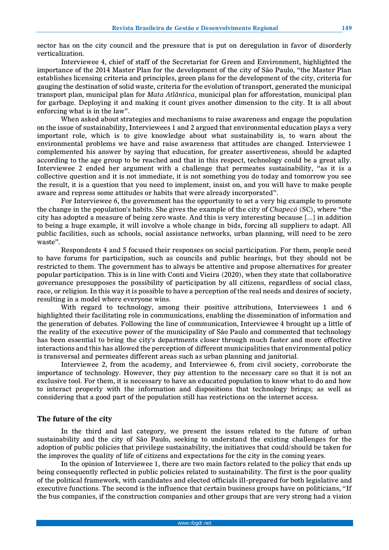sector has on the city council and the pressure that is put on deregulation in favor of disorderly verticalization.

Interviewee 4, chief of staff of the Secretariat for Green and Environment, highlighted the importance of the 2014 Master Plan for the development of the city of São Paulo, "the Master Plan establishes licensing criteria and principles, green plans for the development of the city, criteria for gauging the destination of solid waste, criteria for the evolution of transport, generated the municipal transport plan, municipal plan for *Mata Atlântica*, municipal plan for afforestation, municipal plan for garbage. Deploying it and making it count gives another dimension to the city. It is all about enforcing what is in the law".

When asked about strategies and mechanisms to raise awareness and engage the population on the issue of sustainability, Interviewees 1 and 2 argued that environmental education plays a very important role, which is to give knowledge about what sustainability is, to warn about the environmental problems we have and raise awareness that attitudes are changed. Interviewee 1 complemented his answer by saying that education, for greater assertiveness, should be adapted according to the age group to be reached and that in this respect, technology could be a great ally. Interviewee 2 ended her argument with a challenge that permeates sustainability, "as it is a collective question and it is not immediate, it is not something you do today and tomorrow you see the result, it is a question that you need to implement, insist on, and you will have to make people aware and repress some attitudes or habits that were already incorporated".

For Interviewee 6, the government has the opportunity to set a very big example to promote the change in the population's habits. She gives the example of the city of *Chapecó* (SC), where "the city has adopted a measure of being zero waste. And this is very interesting because [...] in addition to being a huge example, it will involve a whole change in bids, forcing all suppliers to adapt. All public facilities, such as schools, social assistance networks, urban planning, will need to be zero waste".

Respondents 4 and 5 focused their responses on social participation. For them, people need to have forums for participation, such as councils and public hearings, but they should not be restricted to them. The government has to always be attentive and propose alternatives for greater popular participation. This is in line with Conti and Vieira (2020), when they state that collaborative governance presupposes the possibility of participation by all citizens, regardless of social class, race, or religion. In this way it is possible to have a perception of the real needs and desires of society, resulting in a model where everyone wins.

With regard to technology, among their positive attributions, Interviewees 1 and 6 highlighted their facilitating role in communications, enabling the dissemination of information and the generation of debates. Following the line of communication, Interviewee 4 brought up a little of the reality of the executive power of the municipality of São Paulo and commented that technology has been essential to bring the city's departments closer through much faster and more effective interactions and this has allowed the perception of different municipalities that environmental policy is transversal and permeates different areas such as urban planning and janitorial.

Interviewee 2, from the academy, and Interviewee 6, from civil society, corroborate the importance of technology. However, they pay attention to the necessary care so that it is not an exclusive tool. For them, it is necessary to have an educated population to know what to do and how to interact properly with the information and dispositions that technology brings; as well as considering that a good part of the population still has restrictions on the internet access.

#### **The future of the city**

In the third and last category, we present the issues related to the future of urban sustainability and the city of São Paulo, seeking to understand the existing challenges for the adoption of public policies that privilege sustainability, the initiatives that could/should be taken for the improves the quality of life of citizens and expectations for the city in the coming years.

In the opinion of Interviewee 1, there are two main factors related to the policy that ends up being consequently reflected in public policies related to sustainability. The first is the poor quality of the political framework, with candidates and elected officials ill-prepared for both legislative and executive functions. The second is the influence that certain business groups have on politicians, "If the bus companies, if the construction companies and other groups that are very strong had a vision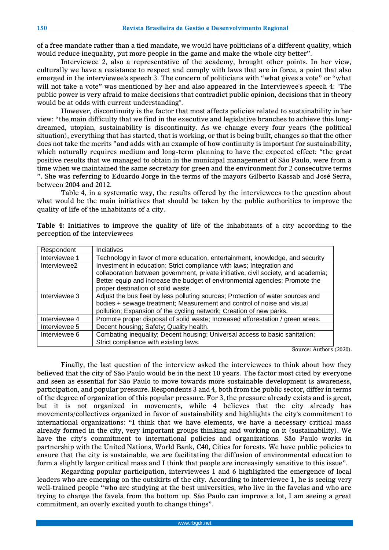of a free mandate rather than a tied mandate, we would have politicians of a different quality, which would reduce inequality, put more people in the game and make the whole city better".

Interviewee 2, also a representative of the academy, brought other points. In her view, culturally we have a resistance to respect and comply with laws that are in force, a point that also emerged in the interviewee's speech 3. The concern of politicians with "what gives a vote" or "what will not take a vote" was mentioned by her and also appeared in the Interviewee's speech 4: "The public power is very afraid to make decisions that contradict public opinion, decisions that in theory would be at odds with current understanding".

However, discontinuity is the factor that most affects policies related to sustainability in her view: "the main difficulty that we find in the executive and legislative branches to achieve this longdreamed, utopian, sustainability is discontinuity. As we change every four years (the political situation), everything that has started, that is working, or that is being built, changes so that the other does not take the merits "and adds with an example of how continuity is important for sustainability, which naturally requires medium and long-term planning to have the expected effect: "the great positive results that we managed to obtain in the municipal management of São Paulo, were from a time when we maintained the same secretary for green and the environment for 2 consecutive terms ". She was referring to Eduardo Jorge in the terms of the mayors Gilberto Kassab and José Serra, between 2004 and 2012.

Table 4, in a systematic way, the results offered by the interviewees to the question about what would be the main initiatives that should be taken by the public authorities to improve the quality of life of the inhabitants of a city.

**Table 4:** Initiatives to improve the quality of life of the inhabitants of a city according to the perception of the interviewees

| Respondent    | <b>Inciatives</b>                                                                                                                                                                                                                                                                |
|---------------|----------------------------------------------------------------------------------------------------------------------------------------------------------------------------------------------------------------------------------------------------------------------------------|
| Interviewee 1 | Technology in favor of more education, entertainment, knowledge, and security                                                                                                                                                                                                    |
| Interviewee2  | Investment in education; Strict compliance with laws; Integration and<br>collaboration between government, private initiative, civil society, and academia;<br>Better equip and increase the budget of environmental agencies; Promote the<br>proper destination of solid waste. |
| Interviewee 3 | Adjust the bus fleet by less polluting sources; Protection of water sources and<br>bodies + sewage treatment; Measurement and control of noise and visual<br>pollution; Expansion of the cycling network; Creation of new parks.                                                 |
| Interviewee 4 | Promote proper disposal of solid waste; Increased afforestation / green areas.                                                                                                                                                                                                   |
| Interviewee 5 | Decent housing; Safety; Quality health.                                                                                                                                                                                                                                          |
| Interviewee 6 | Combating inequality; Decent housing; Universal access to basic sanitation;<br>Strict compliance with existing laws.                                                                                                                                                             |

Source: Authors (2020).

Finally, the last question of the interview asked the interviewees to think about how they believed that the city of São Paulo would be in the next 10 years. The factor most cited by everyone and seen as essential for São Paulo to move towards more sustainable development is awareness, participation, and popular pressure. Respondents 3 and 4, both from the public sector, differ in terms of the degree of organization of this popular pressure. For 3, the pressure already exists and is great, but it is not organized in movements, while 4 believes that the city already has movements/collectives organized in favor of sustainability and highlights the city's commitment to international organizations: "I think that we have elements, we have a necessary critical mass already formed in the city, very important groups thinking and working on it (sustainability). We have the city's commitment to international policies and organizations. São Paulo works in partnership with the United Nations, World Bank, C40, Cities for forests. We have public policies to ensure that the city is sustainable, we are facilitating the diffusion of environmental education to form a slightly larger critical mass and I think that people are increasingly sensitive to this issue".

Regarding popular participation, interviewees 1 and 6 highlighted the emergence of local leaders who are emerging on the outskirts of the city. According to interviewee 1, he is seeing very well-trained people "who are studying at the best universities, who live in the favelas and who are trying to change the favela from the bottom up. São Paulo can improve a lot, I am seeing a great commitment, an overly excited youth to change things".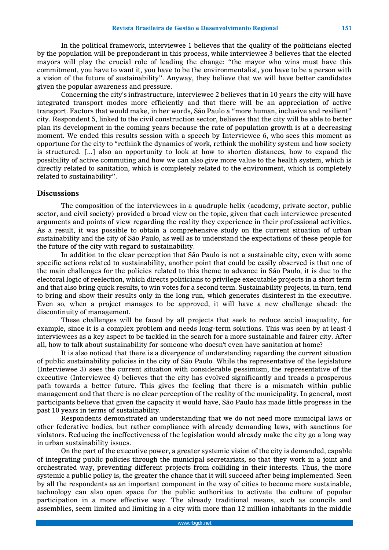In the political framework, interviewee 1 believes that the quality of the politicians elected by the population will be preponderant in this process, while interviewee 3 believes that the elected mayors will play the crucial role of leading the change: "the mayor who wins must have this commitment, you have to want it, you have to be the environmentalist, you have to be a person with a vision of the future of sustainability". Anyway, they believe that we will have better candidates given the popular awareness and pressure.

Concerning the city's infrastructure, interviewee 2 believes that in 10 years the city will have integrated transport modes more efficiently and that there will be an appreciation of active transport. Factors that would make, in her words, São Paulo a "more human, inclusive and resilient" city. Respondent 5, linked to the civil construction sector, believes that the city will be able to better plan its development in the coming years because the rate of population growth is at a decreasing moment. We ended this results session with a speech by Interviewee 6, who sees this moment as opportune for the city to "rethink the dynamics of work, rethink the mobility system and how society is structured. [...] also an opportunity to look at how to shorten distances, how to expand the possibility of active commuting and how we can also give more value to the health system, which is directly related to sanitation, which is completely related to the environment, which is completely related to sustainability".

#### **Discussions**

The composition of the interviewees in a quadruple helix (academy, private sector, public sector, and civil society) provided a broad view on the topic, given that each interviewee presented arguments and points of view regarding the reality they experience in their professional activities. As a result, it was possible to obtain a comprehensive study on the current situation of urban sustainability and the city of São Paulo, as well as to understand the expectations of these people for the future of the city with regard to sustainability.

In addition to the clear perception that São Paulo is not a sustainable city, even with some specific actions related to sustainability, another point that could be easily observed is that one of the main challenges for the policies related to this theme to advance in São Paulo, it is due to the electoral logic of reelection, which directs politicians to privilege executable projects in a short term and that also bring quick results, to win votes for a second term. Sustainability projects, in turn, tend to bring and show their results only in the long run, which generates disinterest in the executive. Even so, when a project manages to be approved, it will have a new challenge ahead: the discontinuity of management.

These challenges will be faced by all projects that seek to reduce social inequality, for example, since it is a complex problem and needs long-term solutions. This was seen by at least 4 interviewees as a key aspect to be tackled in the search for a more sustainable and fairer city. After all, how to talk about sustainability for someone who doesn't even have sanitation at home?

It is also noticed that there is a divergence of understanding regarding the current situation of public sustainability policies in the city of São Paulo. While the representative of the legislature (Interviewee 3) sees the current situation with considerable pessimism, the representative of the executive (Interviewee 4) believes that the city has evolved significantly and treads a prosperous path towards a better future. This gives the feeling that there is a mismatch within public management and that there is no clear perception of the reality of the municipality. In general, most participants believe that given the capacity it would have, São Paulo has made little progress in the past 10 years in terms of sustainability.

Respondents demonstrated an understanding that we do not need more municipal laws or other federative bodies, but rather compliance with already demanding laws, with sanctions for violators. Reducing the ineffectiveness of the legislation would already make the city go a long way in urban sustainability issues.

On the part of the executive power, a greater systemic vision of the city is demanded, capable of integrating public policies through the municipal secretariats, so that they work in a joint and orchestrated way, preventing different projects from colliding in their interests. Thus, the more systemic a public policy is, the greater the chance that it will succeed after being implemented. Seen by all the respondents as an important component in the way of cities to become more sustainable, technology can also open space for the public authorities to activate the culture of popular participation in a more effective way. The already traditional means, such as councils and assemblies, seem limited and limiting in a city with more than 12 million inhabitants in the middle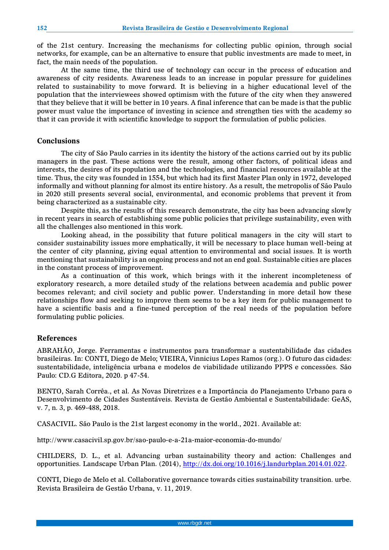of the 21st century. Increasing the mechanisms for collecting public opinion, through social networks, for example, can be an alternative to ensure that public investments are made to meet, in fact, the main needs of the population.

At the same time, the third use of technology can occur in the process of education and awareness of city residents. Awareness leads to an increase in popular pressure for guidelines related to sustainability to move forward. It is believing in a higher educational level of the population that the interviewees showed optimism with the future of the city when they answered that they believe that it will be better in 10 years. A final inference that can be made is that the public power must value the importance of investing in science and strengthen ties with the academy so that it can provide it with scientific knowledge to support the formulation of public policies.

#### **Conclusions**

The city of São Paulo carries in its identity the history of the actions carried out by its public managers in the past. These actions were the result, among other factors, of political ideas and interests, the desires of its population and the technologies, and financial resources available at the time. Thus, the city was founded in 1554, but which had its first Master Plan only in 1972, developed informally and without planning for almost its entire history. As a result, the metropolis of São Paulo in 2020 still presents several social, environmental, and economic problems that prevent it from being characterized as a sustainable city.

Despite this, as the results of this research demonstrate, the city has been advancing slowly in recent years in search of establishing some public policies that privilege sustainability, even with all the challenges also mentioned in this work.

Looking ahead, in the possibility that future political managers in the city will start to consider sustainability issues more emphatically, it will be necessary to place human well-being at the center of city planning, giving equal attention to environmental and social issues. It is worth mentioning that sustainability is an ongoing process and not an end goal. Sustainable cities are places in the constant process of improvement.

As a continuation of this work, which brings with it the inherent incompleteness of exploratory research, a more detailed study of the relations between academia and public power becomes relevant; and civil society and public power. Understanding in more detail how these relationships flow and seeking to improve them seems to be a key item for public management to have a scientific basis and a fine-tuned perception of the real needs of the population before formulating public policies.

## **References**

ABRAHÃO, Jorge. Ferramentas e instrumentos para transformar a sustentabilidade das cidades brasileiras. In: CONTI, Diego de Melo; VIEIRA, Vinnicius Lopes Ramos (org.). O futuro das cidades: sustentabilidade, inteligência urbana e modelos de viabilidade utilizando PPPS e concessões. São Paulo: CD.G Editora, 2020. p 47-54.

BENTO, Sarah Corrêa., et al. As Novas Diretrizes e a Importância do Planejamento Urbano para o Desenvolvimento de Cidades Sustentáveis. Revista de Gestão Ambiental e Sustentabilidade: GeAS, v. 7, n. 3, p. 469-488, 2018.

CASACIVIL. São Paulo is the 21st largest economy in the world., 2021. Available at:

http://www.casacivil.sp.gov.br/sao-paulo-e-a-21a-maior-economia-do-mundo/

CHILDERS, D. L., et al. Advancing urban sustainability theory and action: Challenges and opportunities. Landscape Urban Plan. (2014), [http://dx.doi.org/10.1016/j.landurbplan.2014.01.022.](http://dx.doi.org/10.1016/j.landurbplan.2014.01.022)

CONTI, Diego de Melo et al. Collaborative governance towards cities sustainability transition. urbe. Revista Brasileira de Gestão Urbana, v. 11, 2019.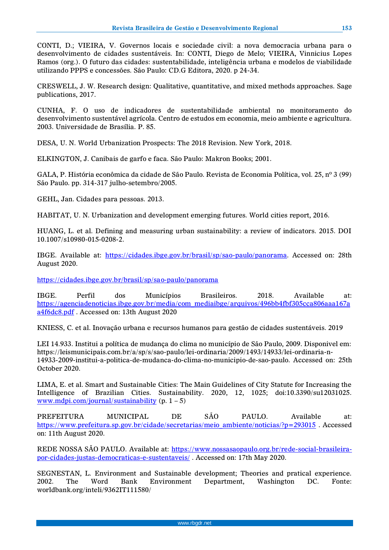CONTI, D.; VIEIRA, V. Governos locais e sociedade civil: a nova democracia urbana para o desenvolvimento de cidades sustentáveis. In: CONTI, Diego de Melo; VIEIRA, Vinnicius Lopes Ramos (org.). O futuro das cidades: sustentabilidade, inteligência urbana e modelos de viabilidade utilizando PPPS e concessões. São Paulo: CD.G Editora, 2020. p 24-34.

CRESWELL, J. W. Research design: Qualitative, quantitative, and mixed methods approaches. Sage publications, 2017.

CUNHA, F. O uso de indicadores de sustentabilidade ambiental no monitoramento do desenvolvimento sustentável agrícola. Centro de estudos em economia, meio ambiente e agricultura. 2003. Universidade de Brasília. P. 85.

DESA, U. N. World Urbanization Prospects: The 2018 Revision. New York, 2018.

ELKINGTON, J. Canibais de garfo e faca. São Paulo: Makron Books; 2001.

GALA, P. História econômica da cidade de São Paulo. Revista de Economia Política, vol. 25, nº 3 (99) São Paulo. pp. 314-317 julho-setembro/2005.

GEHL, Jan. Cidades para pessoas. 2013.

HABITAT, U. N. Urbanization and development emerging futures. World cities report, 2016.

HUANG, L. et al. Defining and measuring urban sustainability: a review of indicators. 2015. DOI 10.1007/s10980-015-0208-2.

IBGE. Available at: [https://cidades.ibge.gov.br/brasil/sp/sao-paulo/panorama.](https://cidades.ibge.gov.br/brasil/sp/sao-paulo/panorama) Accessed on: 28th August 2020.

<https://cidades.ibge.gov.br/brasil/sp/sao-paulo/panorama>

IBGE. Perfil dos Municípios Brasileiros. 2018. Available at: [https://agenciadenoticias.ibge.gov.br/media/com\\_mediaibge/arquivos/496bb4fbf305cca806aaa167a](https://agenciadenoticias.ibge.gov.br/media/com_mediaibge/arquivos/496bb4fbf305cca806aaa167aa4f6dc8.pdf) [a4f6dc8.pdf](https://agenciadenoticias.ibge.gov.br/media/com_mediaibge/arquivos/496bb4fbf305cca806aaa167aa4f6dc8.pdf) . Accessed on: 13th August 2020

KNIESS, C. et al. Inovação urbana e recursos humanos para gestão de cidades sustentáveis. 2019

LEI 14.933. Institui a política de mudança do clima no município de São Paulo, 2009. Disponivel em: https://leismunicipais.com.br/a/sp/s/sao-paulo/lei-ordinaria/2009/1493/14933/lei-ordinaria-n-14933-2009-institui-a-politica-de-mudanca-do-clima-no-municipio-de-sao-paulo. Accessed on: 25th October 2020.

LIMA, E. et al. Smart and Sustainable Cities: The Main Guidelines of City Statute for Increasing the Intelligence of Brazilian Cities. Sustainability. 2020, 12, 1025; doi:10.3390/su12031025. [www.mdpi.com/journal/sustainability](http://www.mdpi.com/journal/sustainability)  $(p. 1 - 5)$ 

PREFEITURA MUNICIPAL DE SÃO PAULO. Available at: [https://www.prefeitura.sp.gov.br/cidade/secretarias/meio\\_ambiente/noticias/?p=293015](https://www.prefeitura.sp.gov.br/cidade/secretarias/meio_ambiente/noticias/?p=293015) . Accessed on: 11th August 2020.

REDE NOSSA SÃO PAULO. Available at: [https://www.nossasaopaulo.org.br/rede-social-brasileira](https://www.nossasaopaulo.org.br/rede-social-brasileira-por-cidades-justas-democraticas-e-sustentaveis/)[por-cidades-justas-democraticas-e-sustentaveis/](https://www.nossasaopaulo.org.br/rede-social-brasileira-por-cidades-justas-democraticas-e-sustentaveis/) . Accessed on: 17th May 2020.

SEGNESTAN, L. Environment and Sustainable development; Theories and pratical experience. 2002. The Word Bank Environment Department, Washington DC. Fonte: worldbank.org/inteli/9362IT111580/